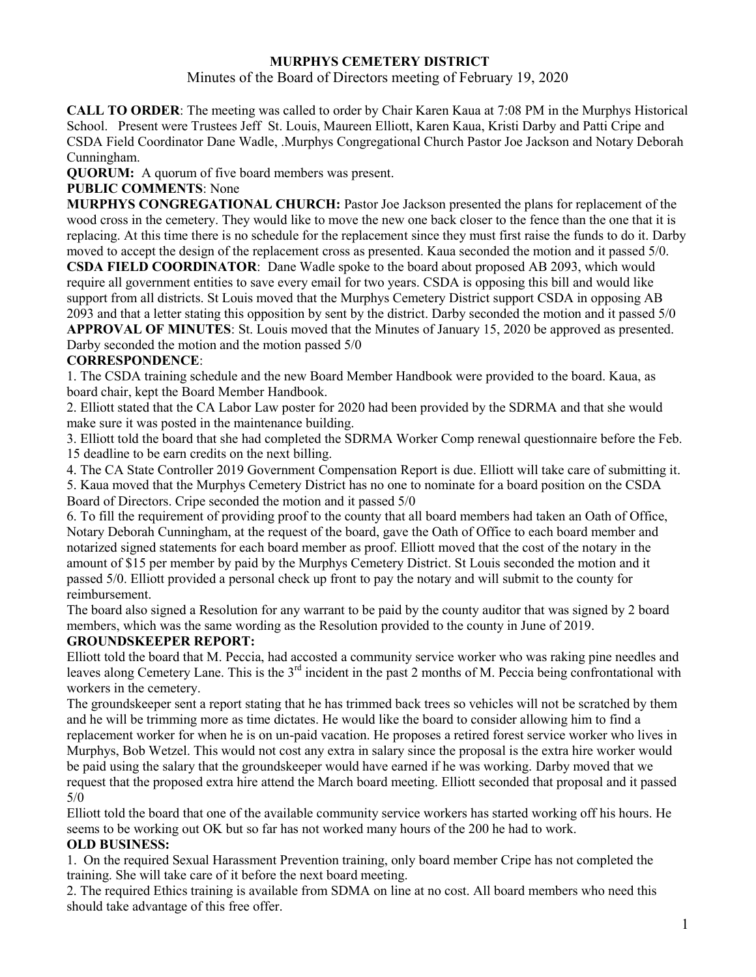# **MURPHYS CEMETERY DISTRICT**

Minutes of the Board of Directors meeting of February 19, 2020

**CALL TO ORDER**: The meeting was called to order by Chair Karen Kaua at 7:08 PM in the Murphys Historical School. Present were Trustees Jeff St. Louis, Maureen Elliott, Karen Kaua, Kristi Darby and Patti Cripe and CSDA Field Coordinator Dane Wadle, .Murphys Congregational Church Pastor Joe Jackson and Notary Deborah Cunningham.

**QUORUM:** A quorum of five board members was present.

## **PUBLIC COMMENTS**: None

**MURPHYS CONGREGATIONAL CHURCH:** Pastor Joe Jackson presented the plans for replacement of the wood cross in the cemetery. They would like to move the new one back closer to the fence than the one that it is replacing. At this time there is no schedule for the replacement since they must first raise the funds to do it. Darby moved to accept the design of the replacement cross as presented. Kaua seconded the motion and it passed 5/0.

**CSDA FIELD COORDINATOR**: Dane Wadle spoke to the board about proposed AB 2093, which would require all government entities to save every email for two years. CSDA is opposing this bill and would like support from all districts. St Louis moved that the Murphys Cemetery District support CSDA in opposing AB 2093 and that a letter stating this opposition by sent by the district. Darby seconded the motion and it passed 5/0 **APPROVAL OF MINUTES**: St. Louis moved that the Minutes of January 15, 2020 be approved as presented.

Darby seconded the motion and the motion passed 5/0

## **CORRESPONDENCE**:

1. The CSDA training schedule and the new Board Member Handbook were provided to the board. Kaua, as board chair, kept the Board Member Handbook.

2. Elliott stated that the CA Labor Law poster for 2020 had been provided by the SDRMA and that she would make sure it was posted in the maintenance building.

3. Elliott told the board that she had completed the SDRMA Worker Comp renewal questionnaire before the Feb. 15 deadline to be earn credits on the next billing.

4. The CA State Controller 2019 Government Compensation Report is due. Elliott will take care of submitting it. 5. Kaua moved that the Murphys Cemetery District has no one to nominate for a board position on the CSDA Board of Directors. Cripe seconded the motion and it passed 5/0

6. To fill the requirement of providing proof to the county that all board members had taken an Oath of Office, Notary Deborah Cunningham, at the request of the board, gave the Oath of Office to each board member and notarized signed statements for each board member as proof. Elliott moved that the cost of the notary in the amount of \$15 per member by paid by the Murphys Cemetery District. St Louis seconded the motion and it passed 5/0. Elliott provided a personal check up front to pay the notary and will submit to the county for reimbursement.

The board also signed a Resolution for any warrant to be paid by the county auditor that was signed by 2 board members, which was the same wording as the Resolution provided to the county in June of 2019.

#### **GROUNDSKEEPER REPORT:**

Elliott told the board that M. Peccia, had accosted a community service worker who was raking pine needles and leaves along Cemetery Lane. This is the  $3<sup>rd</sup>$  incident in the past 2 months of M. Peccia being confrontational with workers in the cemetery.

The groundskeeper sent a report stating that he has trimmed back trees so vehicles will not be scratched by them and he will be trimming more as time dictates. He would like the board to consider allowing him to find a replacement worker for when he is on un-paid vacation. He proposes a retired forest service worker who lives in Murphys, Bob Wetzel. This would not cost any extra in salary since the proposal is the extra hire worker would be paid using the salary that the groundskeeper would have earned if he was working. Darby moved that we request that the proposed extra hire attend the March board meeting. Elliott seconded that proposal and it passed 5/0

Elliott told the board that one of the available community service workers has started working off his hours. He seems to be working out OK but so far has not worked many hours of the 200 he had to work.

#### **OLD BUSINESS:**

1. On the required Sexual Harassment Prevention training, only board member Cripe has not completed the training. She will take care of it before the next board meeting.

2. The required Ethics training is available from SDMA on line at no cost. All board members who need this should take advantage of this free offer.